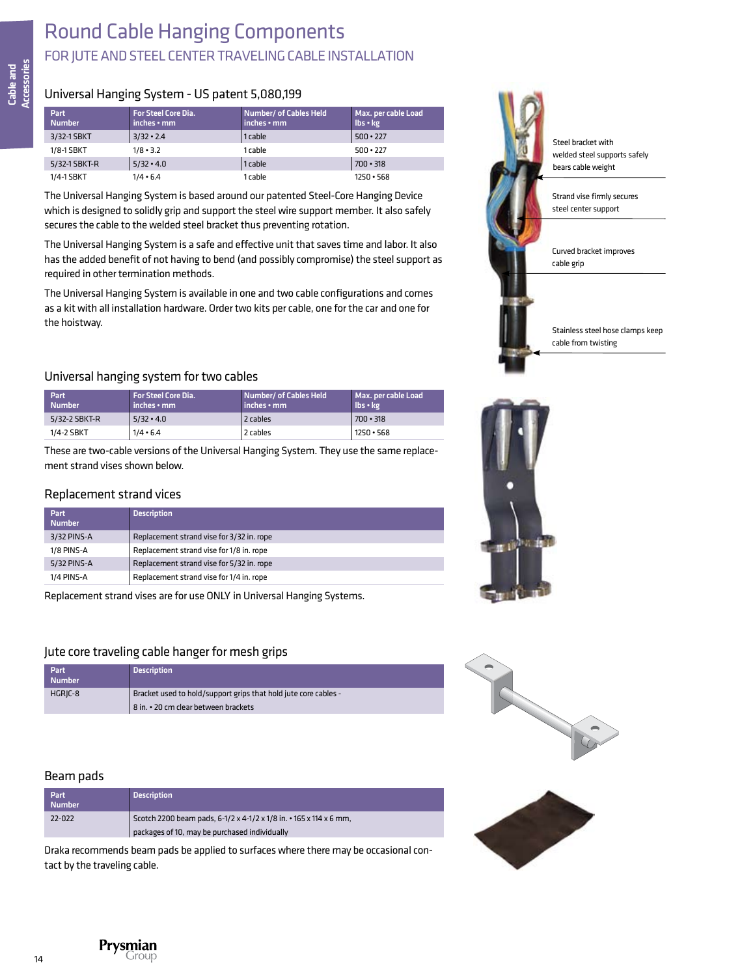# Round Cable Hanging Components FOR JUTE AND STEEL CENTER TRAVELING CABLE INSTALLATION

### Universal Hanging System - US patent 5,080,199

| <b>Part</b><br><b>Number</b> | <b>For Steel Core Dia.</b><br>inches • mm | Number/ of Cables Held<br>inches • mm | Max. per cable Load<br>Ibs · kg |
|------------------------------|-------------------------------------------|---------------------------------------|---------------------------------|
| 3/32-1 SBKT                  | $3/32 \cdot 2.4$                          | 1 cable                               | $500 \cdot 227$                 |
| 1/8-1 SBKT                   | $1/8 \cdot 3.2$                           | 1 cable                               | $500 \cdot 227$                 |
| 5/32-1 SBKT-R                | $5/32 \cdot 4.0$                          | 1 cable                               | $700 \cdot 318$                 |
| 1/4-1 SBKT                   | $1/4 \cdot 6.4$                           | 1 cable                               | $1250 \cdot 568$                |

The Universal Hanging System is based around our patented Steel-Core Hanging Device which is designed to solidly grip and support the steel wire support member. It also safely secures the cable to the welded steel bracket thus preventing rotation.

The Universal Hanging System is a safe and effective unit that saves time and labor. It also has the added benefit of not having to bend (and possibly compromise) the steel support as required in other termination methods.

The Universal Hanging System is available in one and two cable configurations and comes as a kit with all installation hardware. Order two kits per cable, one for the car and one for the hoistway.

### Universal hanging system for two cables

| Part<br><b>Number</b> | <b>For Steel Core Dia.</b><br>inches • mm | Number/ of Cables Held<br>inches • mm | Max. per cable Load<br>lbs · kg |
|-----------------------|-------------------------------------------|---------------------------------------|---------------------------------|
| 5/32-2 SBKT-R         | $5/32 \cdot 4.0$                          | 2 cables                              | $700 \cdot 318$                 |
| 1/4-2 SBKT            | $1/4 \cdot 6.4$                           | 2 cables                              | 1250 • 568                      |

These are two-cable versions of the Universal Hanging System. They use the same replacement strand vises shown below.

### Replacement strand vices

| Part<br><b>Number</b> | <b>Description</b>                        |
|-----------------------|-------------------------------------------|
| 3/32 PINS-A           | Replacement strand vise for 3/32 in. rope |
| 1/8 PINS-A            | Replacement strand vise for 1/8 in. rope  |
| 5/32 PINS-A           | Replacement strand vise for 5/32 in. rope |
| 1/4 PINS-A            | Replacement strand vise for 1/4 in. rope  |

Replacement strand vises are for use ONLY in Universal Hanging Systems.

### Jute core traveling cable hanger for mesh grips

| Part<br><b>Number</b> | <b>Description</b>                                                                                      |
|-----------------------|---------------------------------------------------------------------------------------------------------|
| HGRIC-8               | Bracket used to hold/support grips that hold jute core cables -<br>8 in. • 20 cm clear between brackets |

#### Beam pads

| Part<br><b>Number</b> | <b>Description</b>                                                 |
|-----------------------|--------------------------------------------------------------------|
| 22-022                | Scotch 2200 beam pads, 6-1/2 x 4-1/2 x 1/8 in. • 165 x 114 x 6 mm, |
|                       | packages of 10, may be purchased individually                      |

Draka recommends beam pads be applied to surfaces where there may be occasional contact by the traveling cable.









Prysmian Grouc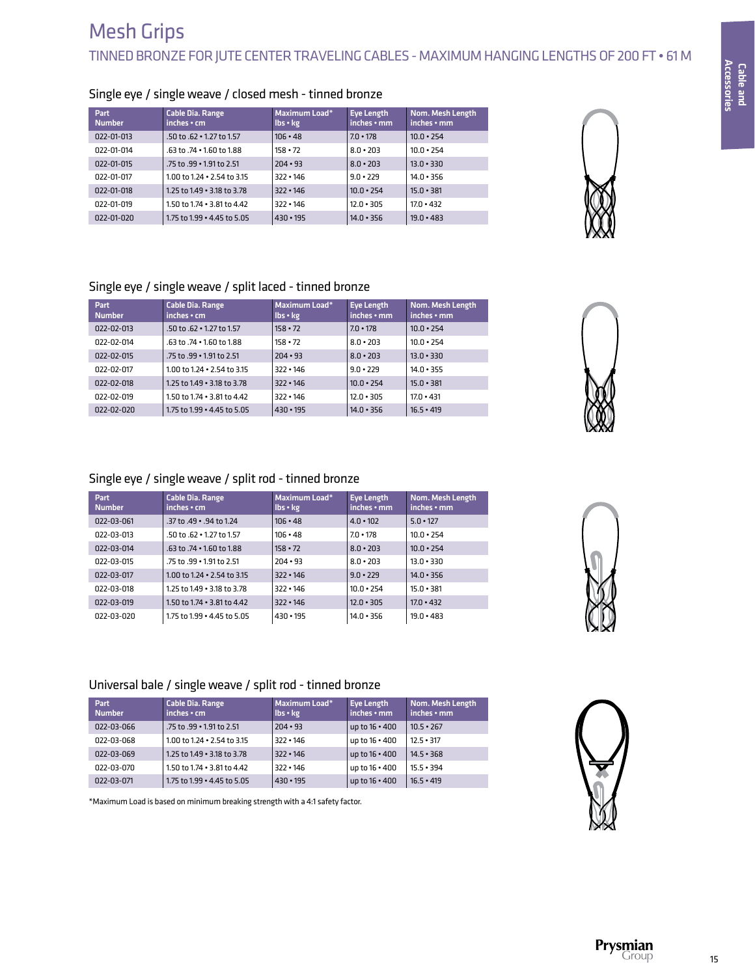| $S^{n}$ , $S^{n}$ , $S^{n}$ , $S^{n}$ , $S^{n}$ , $S^{n}$ , $S^{n}$ , $S^{n}$ , $S^{n}$ , $S^{n}$ , $S^{n}$ , $S^{n}$ , $S^{n}$ , $S^{n}$ , $S^{n}$ , $S^{n}$ , $S^{n}$ , $S^{n}$ , $S^{n}$ , $S^{n}$ , $S^{n}$ , $S^{n}$ , $S^{n}$ , $S^{n}$ , $S^{n}$ , $S^{n}$ , $S^{n}$ , $S^{n}$ |                                        |                           |                                        |                                       |  |
|---------------------------------------------------------------------------------------------------------------------------------------------------------------------------------------------------------------------------------------------------------------------------------------|----------------------------------------|---------------------------|----------------------------------------|---------------------------------------|--|
| Part<br><b>Number</b>                                                                                                                                                                                                                                                                 | <b>Cable Dia. Range</b><br>inches • cm | Maximum Load*<br>Ibs • kg | <b>Eve Length</b><br>$inches \cdot mm$ | Nom. Mesh Length<br>$inches \cdot mm$ |  |
| 022-01-013                                                                                                                                                                                                                                                                            | $.50$ to $.62 \cdot 1.27$ to 1.57      | $106 \cdot 48$            | $7.0 \cdot 178$                        | $10.0 \cdot 254$                      |  |
| 022-01-014                                                                                                                                                                                                                                                                            | $.63$ to $.74 \cdot 1.60$ to $1.88$    | $158 \cdot 72$            | $8.0 \cdot 203$                        | $10.0 \cdot 254$                      |  |
| 022-01-015                                                                                                                                                                                                                                                                            | .75 to .99 • 1.91 to 2.51              | $204 \cdot 93$            | $8.0 \cdot 203$                        | $13.0 \cdot 330$                      |  |
| 022-01-017                                                                                                                                                                                                                                                                            | 1.00 to 1.24 $\cdot$ 2.54 to 3.15      | $322 \cdot 146$           | $9.0 \cdot 229$                        | $14.0 - 356$                          |  |
| 022-01-018                                                                                                                                                                                                                                                                            | 1.25 to 1.49 . 3.18 to 3.78            | $322 \cdot 146$           | $10.0 \cdot 254$                       | $15.0 \cdot 381$                      |  |
| 022-01-019                                                                                                                                                                                                                                                                            | 1.50 to 1.74 . 3.81 to 4.42            | $322 \cdot 146$           | $12.0 \cdot 305$                       | $17.0 \cdot 432$                      |  |
| 022-01-020                                                                                                                                                                                                                                                                            | 1.75 to 1.99 $\cdot$ 4.45 to 5.05      | $430 \cdot 195$           | $14.0 \cdot 356$                       | $19.0 \cdot 483$                      |  |

### Single eye / single weave / closed mesh - tinned bronze

# Single eye / single weave / split laced - tinned bronze

| Part<br><b>Number</b> | <b>Cable Dia. Range</b><br>$inches \cdot cm$ | Maximum Load*<br>lbs • kg | <b>Eye Length</b><br>$inches \cdot mm$ | Nom. Mesh Length<br>$inches \cdot mm$ |
|-----------------------|----------------------------------------------|---------------------------|----------------------------------------|---------------------------------------|
| 022-02-013            | $.50$ to $.62 \cdot 1.27$ to 1.57            | $158 \cdot 72$            | $7.0 \cdot 178$                        | $10.0 \cdot 254$                      |
| 022-02-014            | $.63$ to $.74 \cdot 1.60$ to $1.88$          | $158 \cdot 72$            | $8.0 \cdot 203$                        | $10.0 \cdot 254$                      |
| 022-02-015            | .75 to .99 • 1.91 to 2.51                    | $204 \cdot 93$            | $8.0 \cdot 203$                        | $13.0 \cdot 330$                      |
| 022-02-017            | 1.00 to 1.24 $\cdot$ 2.54 to 3.15            | $322 \cdot 146$           | $9.0 \cdot 229$                        | $14.0 \cdot 355$                      |
| 022-02-018            | 1.25 to 1.49 . 3.18 to 3.78                  | $322 \cdot 146$           | $10.0 \cdot 254$                       | $15.0 \cdot 381$                      |
| 022-02-019            | 1.50 to 1.74 . 3.81 to 4.42                  | $322 \cdot 146$           | $12.0 \cdot 305$                       | $17.0 \cdot 431$                      |
| $022 - 02 - 020$      | 1.75 to 1.99 . 4.45 to 5.05                  | $430 \cdot 195$           | $14.0 \cdot 356$                       | $16.5 \cdot 419$                      |
|                       |                                              |                           |                                        |                                       |

### Single eye / single weave / split rod - tinned bronze

| Part<br><b>Number</b> | <b>Cable Dia. Range</b><br>$inches \cdot cm$ | Maximum Load*<br>Ibs • kg | Eye Length<br>$inches \cdot mm$ | Nom. Mesh Length<br>$inches \cdot mm$ |
|-----------------------|----------------------------------------------|---------------------------|---------------------------------|---------------------------------------|
| 022-03-061            | .37 to .49 • .94 to 1.24                     | $106 \cdot 48$            | $4.0 \cdot 102$                 | $5.0 \cdot 127$                       |
| 022-03-013            | $.50$ to $.62 \cdot 1.27$ to $1.57$          | $106 \cdot 48$            | $7.0 \cdot 178$                 | $10.0 \cdot 254$                      |
| 022-03-014            | $.63$ to $.74 \cdot 1.60$ to $1.88$          | $158 \cdot 72$            | $8.0 \cdot 203$                 | $10.0 \cdot 254$                      |
| 022-03-015            | .75 to .99 • 1.91 to 2.51                    | $204 \cdot 93$            | $8.0 \cdot 203$                 | $13.0 - 330$                          |
| 022-03-017            | 1.00 to 1.24 . 2.54 to 3.15                  | $322 \cdot 146$           | $9.0 \cdot 229$                 | $14.0 \cdot 356$                      |
| 022-03-018            | 1.25 to 1.49 . 3.18 to 3.78                  | $322 \cdot 146$           | $10.0 \cdot 254$                | $15.0 \cdot 381$                      |
| 022-03-019            | 1.50 to 1.74 . 3.81 to 4.42                  | $322 \cdot 146$           | $12.0 \cdot 305$                | $17.0 \cdot 432$                      |
| 022-03-020            | 1.75 to 1.99 . 4.45 to 5.05                  | $430 \cdot 195$           | $14.0 \cdot 356$                | $19.0 \cdot 483$                      |



### Universal bale / single weave / split rod - tinned bronze

| Part<br><b>Number</b> | <b>Cable Dia. Range</b><br>$inches \cdot cm$ | Maximum Load*<br>lbs · kg | Eye Length<br>$inches \cdot mm$ | Nom. Mesh Length<br>inches • mm |
|-----------------------|----------------------------------------------|---------------------------|---------------------------------|---------------------------------|
| 022-03-066            | .75 to .99 • 1.91 to 2.51                    | $204 \cdot 93$            | up to 16 . 400                  | $10.5 \cdot 267$                |
| 022-03-068            | 1.00 to 1.24 $\cdot$ 2.54 to 3.15            | $322 \cdot 146$           | up to 16 · 400                  | $12.5 \cdot 317$                |
| 022-03-069            | 1.25 to 1.49 . 3.18 to 3.78                  | 322 • 146                 | up to 16 . 400                  | $14.5 \cdot 368$                |
| 022-03-070            | 1.50 to 1.74 . 3.81 to 4.42                  | $322 \cdot 146$           | up to 16 . 400                  | $15.5 \cdot 394$                |
| 022-03-071            | 1.75 to 1.99 • 4.45 to 5.05                  | $430 \cdot 195$           | up to 16 . 400                  | $16.5 \cdot 419$                |

\*Maximum Load is based on minimum breaking strength with a 4:1 safety factor.



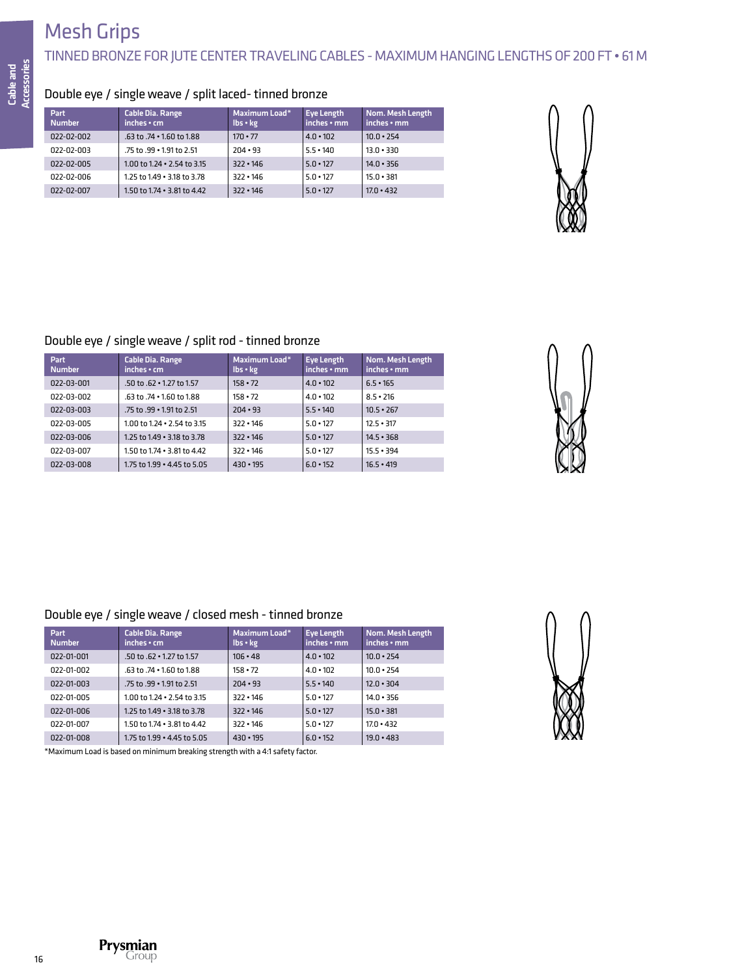# Mesh Grips

## TINNED BRONZE FOR JUTE CENTER TRAVELING CABLES - MAXIMUM HANGING LENGTHS OF 200 FT • 61 M

## Double eye / single weave / split laced- tinned bronze

| <b>Part</b><br><b>Number</b> | Cable Dia. Range<br>inches • cm       | Maximum Load*<br>lbs • kg | Eye Length<br>inches • mm | Nom. Mesh Length<br>inches • mm |
|------------------------------|---------------------------------------|---------------------------|---------------------------|---------------------------------|
| 022-02-002                   | $.63$ to $.74 \cdot 1.60$ to $1.88$   | $170 \cdot 77$            | $4.0 \cdot 102$           | $10.0 \cdot 254$                |
| 022-02-003                   | .75 to .99 • 1.91 to 2.51             | $204 \cdot 93$            | $5.5 \cdot 140$           | $13.0 \cdot 330$                |
| 022-02-005                   | $1.00$ to $1.24 \cdot 2.54$ to $3.15$ | $322 \cdot 146$           | $5.0 \cdot 127$           | $14.0 \cdot 356$                |
| 022-02-006                   | 1.25 to 1.49 . 3.18 to 3.78           | $322 \cdot 146$           | $5.0 \cdot 127$           | $15.0 \cdot 381$                |
| 022-02-007                   | 1.50 to $1.74 \cdot 3.81$ to $4.42$   | $322 \cdot 146$           | $5.0 \cdot 127$           | $17.0 \cdot 432$                |



### Double eye / single weave / split rod - tinned bronze

| Part<br><b>Number</b> | <b>Cable Dia. Range</b><br>$inches \cdot cm$ | Maximum Load*<br>$\mathsf{lbs} \cdot \mathsf{kg}$ | <b>Eve Length</b><br>inches • mm | Nom. Mesh Length<br>$inches \cdot mm$ |
|-----------------------|----------------------------------------------|---------------------------------------------------|----------------------------------|---------------------------------------|
| 022-03-001            | $.50$ to $.62 \cdot 1.27$ to $1.57$          | $158 \cdot 72$                                    | $4.0 \cdot 102$                  | $6.5 \cdot 165$                       |
| 022-03-002            | .63 to .74 • 1.60 to 1.88                    | $158 \cdot 72$                                    | $4.0 \cdot 102$                  | $8.5 \cdot 216$                       |
| 022-03-003            | .75 to .99 • 1.91 to 2.51                    | $204 \cdot 93$                                    | $5.5 \cdot 140$                  | $10.5 \cdot 267$                      |
| 022-03-005            | $1.00$ to $1.24 \cdot 2.54$ to $3.15$        | $322 \cdot 146$                                   | $5.0 \cdot 127$                  | $12.5 \cdot 317$                      |
| 022-03-006            | 1.25 to 1.49 . 3.18 to 3.78                  | $322 \cdot 146$                                   | $5.0 \cdot 127$                  | $14.5 \cdot 368$                      |
| 022-03-007            | 1.50 to 1.74 . 3.81 to 4.42                  | $322 \cdot 146$                                   | $5.0 \cdot 127$                  | $15.5 \cdot 394$                      |
| 022-03-008            | 1.75 to 1.99 • 4.45 to 5.05                  | $430 \cdot 195$                                   | $6.0 \cdot 152$                  | $16.5 \cdot 419$                      |



### Double eye / single weave / closed mesh - tinned bronze

| Part<br><b>Number</b> | <b>Cable Dia. Range</b><br>$inches \cdot cm$ | Maximum Load*<br>$\mathsf{lbs} \cdot \mathsf{kg}$ | Eye Length<br>inches • mm | Nom. Mesh Length<br>inches • mm |
|-----------------------|----------------------------------------------|---------------------------------------------------|---------------------------|---------------------------------|
| 022-01-001            | $.50$ to $.62 \cdot 1.27$ to $1.57$          | $106 \cdot 48$                                    | $4.0 \cdot 102$           | $10.0 \cdot 254$                |
| 022-01-002            | .63 to .74 • 1.60 to 1.88                    | $158 \cdot 72$                                    | $4.0 \cdot 102$           | $10.0 \cdot 254$                |
| 022-01-003            | .75 to .99 • 1.91 to 2.51                    | $204 \cdot 93$                                    | $5.5 \cdot 140$           | $12.0 \cdot 304$                |
| 022-01-005            | $1.00$ to $1.24 \cdot 2.54$ to $3.15$        | $322 \cdot 146$                                   | $5.0 \cdot 127$           | $14.0 \cdot 356$                |
| 022-01-006            | 1.25 to 1.49 . 3.18 to 3.78                  | $322 \cdot 146$                                   | $5.0 \cdot 127$           | $15.0 \cdot 381$                |
| 022-01-007            | 1.50 to 1.74 . 3.81 to 4.42                  | $322 \cdot 146$                                   | $5.0 \cdot 127$           | $17.0 \cdot 432$                |
| 022-01-008            | 1.75 to 1.99 • 4.45 to 5.05                  | $430 \cdot 195$                                   | $6.0 \cdot 152$           | $19.0 \cdot 483$                |



\*Maximum Load is based on minimum breaking strength with a 4:1 safety factor.